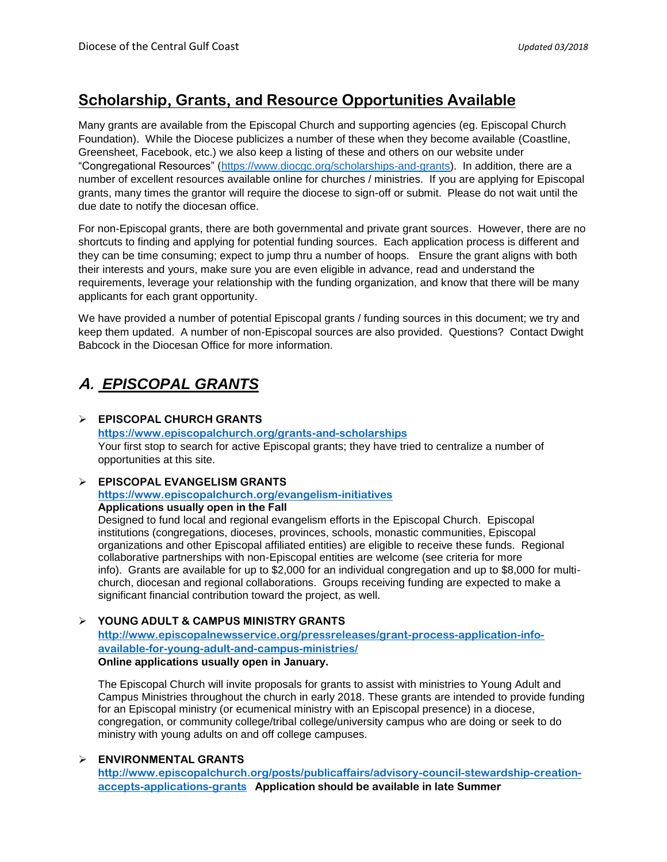# **Scholarship, Grants, and Resource Opportunities Available**

Many grants are available from the Episcopal Church and supporting agencies (eg. Episcopal Church Foundation). While the Diocese publicizes a number of these when they become available (Coastline, Greensheet, Facebook, etc.) we also keep a listing of these and others on our website under "Congregational Resources" [\(https://www.diocgc.org/scholarships-and-grants\)](https://www.diocgc.org/scholarships-and-grants). In addition, there are a number of excellent resources available online for churches / ministries. If you are applying for Episcopal grants, many times the grantor will require the diocese to sign-off or submit. Please do not wait until the due date to notify the diocesan office.

For non-Episcopal grants, there are both governmental and private grant sources. However, there are no shortcuts to finding and applying for potential funding sources. Each application process is different and they can be time consuming; expect to jump thru a number of hoops. Ensure the grant aligns with both their interests and yours, make sure you are even eligible in advance, read and understand the requirements, leverage your relationship with the funding organization, and know that there will be many applicants for each grant opportunity.

We have provided a number of potential Episcopal grants / funding sources in this document; we try and keep them updated. A number of non-Episcopal sources are also provided. Questions? Contact Dwight Babcock in the Diocesan Office for more information.

# **A.** *EPISCOPAL GRANTS*

#### **EPISCOPAL CHURCH GRANTS**

**<https://www.episcopalchurch.org/grants-and-scholarships>** Your first stop to search for active Episcopal grants; they have tried to centralize a number of opportunities at this site.

#### **EPISCOPAL EVANGELISM GRANTS**

**<https://www.episcopalchurch.org/evangelism-initiatives> Applications usually open in the Fall** 

Designed to fund local and regional evangelism efforts in the Episcopal Church. Episcopal institutions (congregations, dioceses, provinces, schools, monastic communities, Episcopal organizations and other Episcopal affiliated entities) are eligible to receive these funds. Regional collaborative partnerships with non-Episcopal entities are welcome (see criteria for more info). Grants are available for up to \$2,000 for an individual congregation and up to \$8,000 for multichurch, diocesan and regional collaborations. Groups receiving funding are expected to make a significant financial contribution toward the project, as well.

#### **YOUNG ADULT & CAMPUS MINISTRY GRANTS**

**[http://www.episcopalnewsservice.org/pressreleases/grant-process-application-info](http://www.episcopalnewsservice.org/pressreleases/grant-process-application-info-available-for-young-adult-and-campus-ministries/)[available-for-young-adult-and-campus-ministries/](http://www.episcopalnewsservice.org/pressreleases/grant-process-application-info-available-for-young-adult-and-campus-ministries/)  Online applications usually open in January.** 

The Episcopal Church will invite proposals for grants to assist with ministries to Young Adult and Campus Ministries throughout the church in early 2018. These grants are intended to provide funding for an Episcopal ministry (or ecumenical ministry with an Episcopal presence) in a diocese, congregation, or community college/tribal college/university campus who are doing or seek to do ministry with young adults on and off college campuses.

#### **ENVIRONMENTAL GRANTS**

**[http://www.episcopalchurch.org/posts/publicaffairs/advisory-council-stewardship-creation](http://www.episcopalchurch.org/posts/publicaffairs/advisory-council-stewardship-creation-accepts-applications-grants)[accepts-applications-grants](http://www.episcopalchurch.org/posts/publicaffairs/advisory-council-stewardship-creation-accepts-applications-grants) Application should be available in late Summer**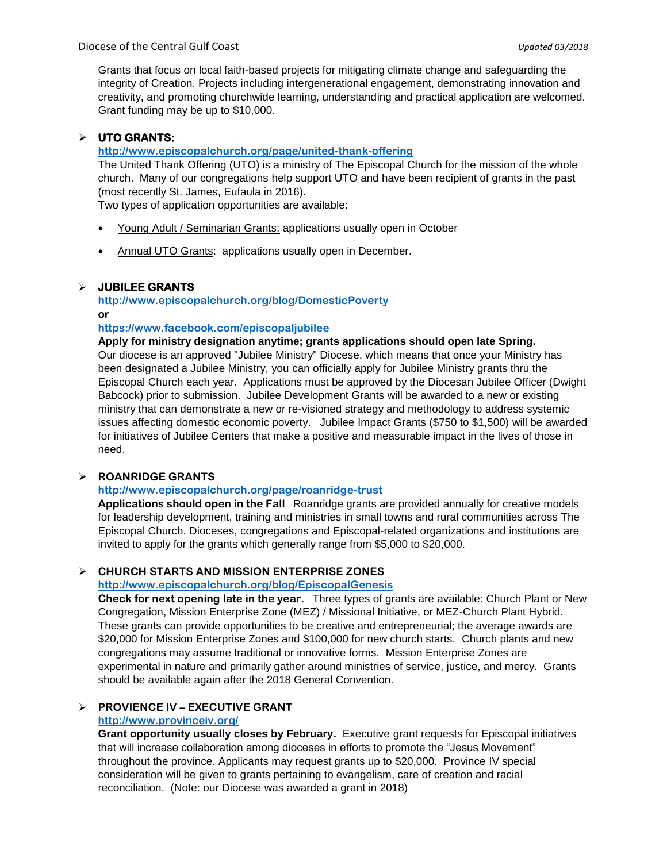Grants that focus on local faith-based projects for mitigating climate change and safeguarding the integrity of Creation. Projects including intergenerational engagement, demonstrating innovation and creativity, and promoting churchwide learning, understanding and practical application are welcomed. Grant funding may be up to \$10,000.

## **UTO GRANTS:**

#### **<http://www.episcopalchurch.org/page/united-thank-offering>**

The United Thank Offering (UTO) is a ministry of The Episcopal Church for the mission of the whole church. Many of our congregations help support UTO and have been recipient of grants in the past (most recently St. James, Eufaula in 2016).

Two types of application opportunities are available:

- Young Adult / Seminarian Grants: applications usually open in October
- Annual UTO Grants: applications usually open in December.

#### **JUBILEE GRANTS**

**<http://www.episcopalchurch.org/blog/DomesticPoverty>**  $\alpha$ **r** 

#### **<https://www.facebook.com/episcopaljubilee>**

**Apply for ministry designation anytime; grants applications should open late Spring.**  Our diocese is an approved "Jubilee Ministry" Diocese, which means that once your Ministry has been designated a Jubilee Ministry, you can officially apply for Jubilee Ministry grants thru the Episcopal Church each year. Applications must be approved by the Diocesan Jubilee Officer (Dwight Babcock) prior to submission. Jubilee Development Grants will be awarded to a new or existing ministry that can demonstrate a new or re-visioned strategy and methodology to address systemic issues affecting domestic economic poverty. Jubilee Impact Grants (\$750 to \$1,500) will be awarded for initiatives of Jubilee Centers that make a positive and measurable impact in the lives of those in need.

#### **ROANRIDGE GRANTS**

## **<http://www.episcopalchurch.org/page/roanridge-trust>**

**Applications should open in the Fall** Roanridge grants are provided annually for creative models for leadership development, training and ministries in small towns and rural communities across The Episcopal Church. Dioceses, congregations and Episcopal-related organizations and institutions are invited to apply for the grants which generally range from \$5,000 to \$20,000.

#### **CHURCH STARTS AND MISSION ENTERPRISE ZONES**

#### **<http://www.episcopalchurch.org/blog/EpiscopalGenesis>**

**Check for next opening late in the year.** Three types of grants are available: Church Plant or New Congregation, Mission Enterprise Zone (MEZ) / Missional Initiative, or MEZ-Church Plant Hybrid. These grants can provide opportunities to be creative and entrepreneurial; the average awards are \$20,000 for Mission Enterprise Zones and \$100,000 for new church starts. Church plants and new congregations may assume traditional or innovative forms. Mission Enterprise Zones are experimental in nature and primarily gather around ministries of service, justice, and mercy. Grants should be available again after the 2018 General Convention.

#### **PROVIENCE IV – EXECUTIVE GRANT <http://www.provinceiv.org/>**

**Grant opportunity usually closes by February.** Executive grant requests for Episcopal initiatives that will increase collaboration among dioceses in efforts to promote the "Jesus Movement" throughout the province. Applicants may request grants up to \$20,000. Province IV special consideration will be given to grants pertaining to evangelism, care of creation and racial reconciliation. (Note: our Diocese was awarded a grant in 2018)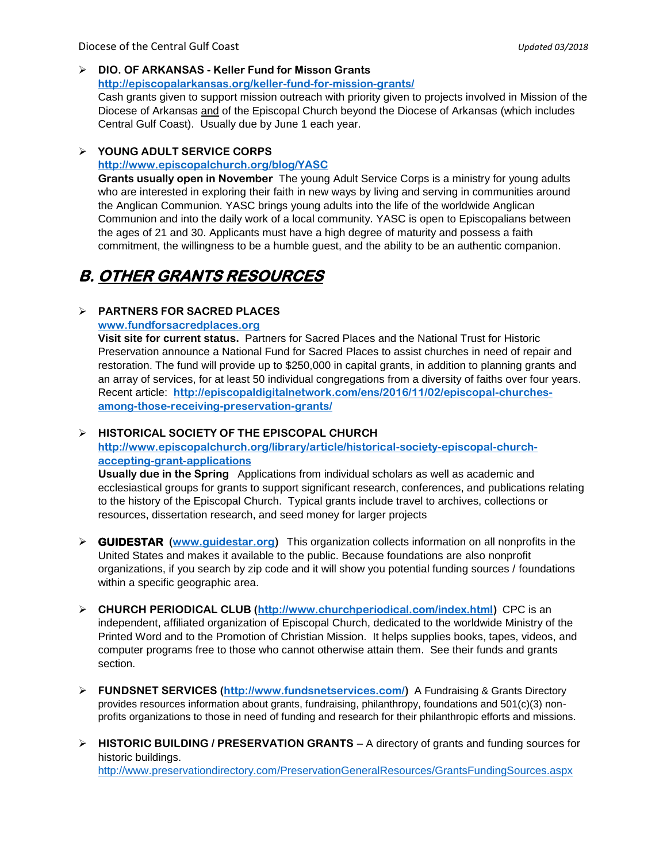# **DIO. OF ARKANSAS - Keller Fund for Misson Grants**

**http://episcopalarkansas.org/keller-fund-for-mission-grants/**

Cash grants given to support mission outreach with priority given to projects involved in Mission of the Diocese of Arkansas and of the Episcopal Church beyond the Diocese of Arkansas (which includes Central Gulf Coast). Usually due by June 1 each year.

#### **YOUNG ADULT SERVICE CORPS**

#### **<http://www.episcopalchurch.org/blog/YASC>**

**Grants usually open in November** The young Adult Service Corps is a ministry for young adults who are interested in exploring their faith in new ways by living and serving in communities around the Anglican Communion. YASC brings young adults into the life of the worldwide Anglican Communion and into the daily work of a local community. YASC is open to Episcopalians between the ages of 21 and 30. Applicants must have a high degree of maturity and possess a faith commitment, the willingness to be a humble guest, and the ability to be an authentic companion.

# **B. OTHER GRANTS RESOURCES**

#### **PARTNERS FOR SACRED PLACES**

**[www.fundforsacredplaces.org](http://www.fundforsacredplaces.org/)**

**Visit site for current status.** Partners for Sacred Places and the National Trust for Historic Preservation announce a National Fund for Sacred Places to assist churches in need of repair and restoration. The fund will provide up to \$250,000 in capital grants, in addition to planning grants and an array of services, for at least 50 individual congregations from a diversity of faiths over four years. Recent article: **[http://episcopaldigitalnetwork.com/ens/2016/11/02/episcopal-churches](http://episcopaldigitalnetwork.com/ens/2016/11/02/episcopal-churches-among-those-receiving-preservation-grants/)[among-those-receiving-preservation-grants/](http://episcopaldigitalnetwork.com/ens/2016/11/02/episcopal-churches-among-those-receiving-preservation-grants/)**

#### **HISTORICAL SOCIETY OF THE EPISCOPAL CHURCH**

**[http://www.episcopalchurch.org/library/article/historical-society-episcopal-church](http://www.episcopalchurch.org/library/article/historical-society-episcopal-church-accepting-grant-applications)[accepting-grant-applications](http://www.episcopalchurch.org/library/article/historical-society-episcopal-church-accepting-grant-applications)**

**Usually due in the Spring** Applications from individual scholars as well as academic and ecclesiastical groups for grants to support significant research, conferences, and publications relating to the history of the Episcopal Church. Typical grants include travel to archives, collections or resources, dissertation research, and seed money for larger projects

- **GUIDESTAR [\(www.guidestar.org\)](http://www.guidestar.org/)** This organization collects information on all nonprofits in the United States and makes it available to the public. Because foundations are also nonprofit organizations, if you search by zip code and it will show you potential funding sources / foundations within a specific geographic area.
- **CHURCH PERIODICAL CLUB [\(http://www.churchperiodical.com/index.html\)](http://www.churchperiodical.com/index.html)** CPC is an independent, affiliated organization of Episcopal Church, dedicated to the worldwide Ministry of the Printed Word and to the Promotion of Christian Mission. It helps supplies books, tapes, videos, and computer programs free to those who cannot otherwise attain them. See their funds and grants section.
- **FUNDSNET SERVICES [\(http://www.fundsnetservices.com/\)](http://www.fundsnetservices.com/)** A Fundraising & Grants Directory provides resources information about grants, fundraising, philanthropy, foundations and 501(c)(3) nonprofits organizations to those in need of funding and research for their philanthropic efforts and missions.
- **HISTORIC BUILDING / PRESERVATION GRANTS** A directory of grants and funding sources for historic buildings.

<http://www.preservationdirectory.com/PreservationGeneralResources/GrantsFundingSources.aspx>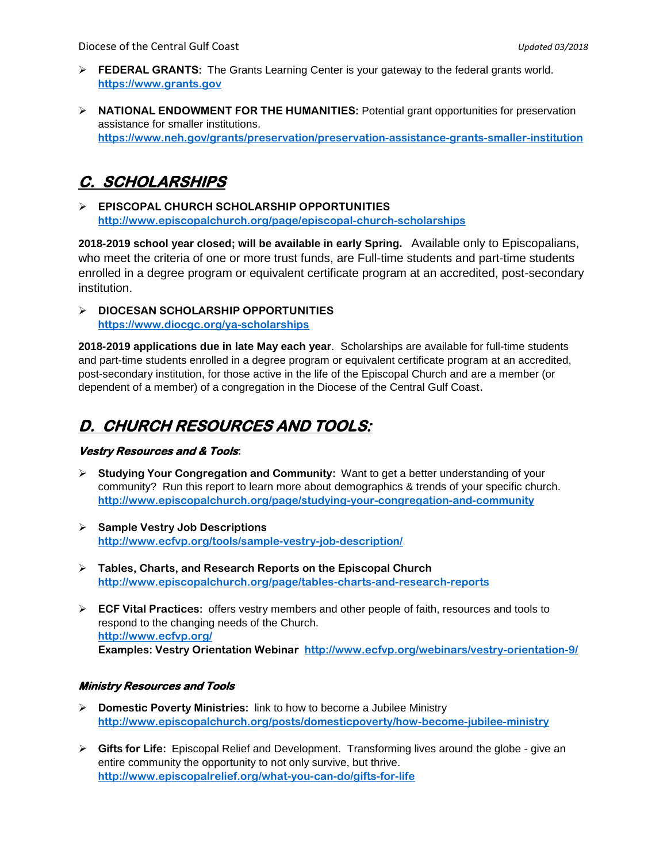- **FEDERAL GRANTS:** The Grants Learning Center is your gateway to the federal grants world. **[https://www.grants.gov](https://www.grants.gov/)**
- **NATIONAL ENDOWMENT FOR THE HUMANITIES:** Potential grant opportunities for preservation assistance for smaller institutions. **<https://www.neh.gov/grants/preservation/preservation-assistance-grants-smaller-institution>**

# **C. SCHOLARSHIPS**

 **EPISCOPAL CHURCH SCHOLARSHIP OPPORTUNITIES <http://www.episcopalchurch.org/page/episcopal-church-scholarships>**

**2018-2019 school year closed; will be available in early Spring.** Available only to Episcopalians, who meet the criteria of one or more trust funds, are Full-time students and part-time students enrolled in a degree program or equivalent certificate program at an accredited, post-secondary institution.

## **DIOCESAN SCHOLARSHIP OPPORTUNITIES <https://www.diocgc.org/ya-scholarships>**

**2018-2019 applications due in late May each year**. Scholarships are available for full-time students and part-time students enrolled in a degree program or equivalent certificate program at an accredited, post-secondary institution, for those active in the life of the Episcopal Church and are a member (or dependent of a member) of a congregation in the Diocese of the Central Gulf Coast**.** 

# **D. CHURCH RESOURCES AND TOOLS:**

## **Vestry Resources and & Tools:**

- **Studying Your Congregation and Community:** Want to get a better understanding of your community? Run this report to learn more about demographics & trends of your specific church. **<http://www.episcopalchurch.org/page/studying-your-congregation-and-community>**
- **Sample Vestry Job Descriptions <http://www.ecfvp.org/tools/sample-vestry-job-description/>**
- **Tables, Charts, and Research Reports on the Episcopal Church <http://www.episcopalchurch.org/page/tables-charts-and-research-reports>**
- **ECF Vital Practices:** offers vestry members and other people of faith, resources and tools to respond to the changing needs of the Church. **<http://www.ecfvp.org/> Examples: Vestry Orientation Webinar <http://www.ecfvp.org/webinars/vestry-orientation-9/>**

## **Ministry Resources and Tools**

- **Domestic Poverty Ministries:** link to how to become a Jubilee Ministry **<http://www.episcopalchurch.org/posts/domesticpoverty/how-become-jubilee-ministry>**
- **Gifts for Life:** Episcopal Relief and Development. Transforming lives around the globe give an entire community the opportunity to not only survive, but thrive. **<http://www.episcopalrelief.org/what-you-can-do/gifts-for-life>**